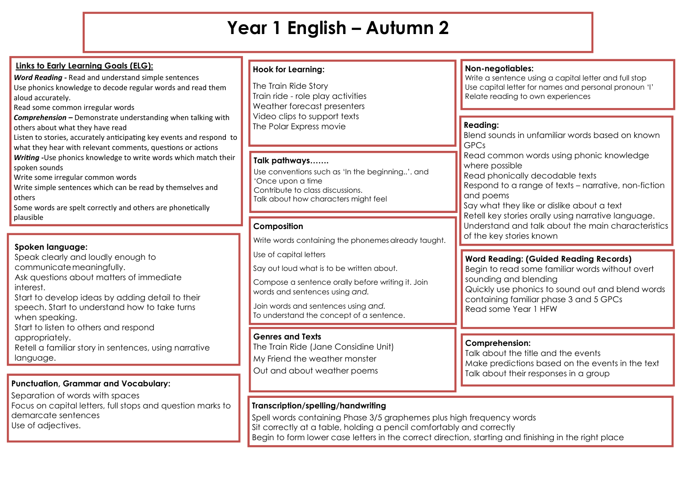# **Year 1 English – Autumn 2**

| <b>Links to Early Learning Goals (ELG):</b><br>Word Reading - Read and understand simple sentences<br>Use phonics knowledge to decode regular words and read them<br>aloud accurately.<br>Read some common irregular words<br><b>Comprehension - Demonstrate understanding when talking with</b><br>others about what they have read<br>Listen to stories, accurately anticipating key events and respond to<br>what they hear with relevant comments, questions or actions<br>Writing - Use phonics knowledge to write words which match their<br>spoken sounds<br>Write some irregular common words<br>Write simple sentences which can be read by themselves and | <b>Hook for Learning:</b><br>The Train Ride Story<br>Train ride - role play activities<br>Weather forecast presenters<br>Video clips to support texts<br>The Polar Express movie<br>Talk pathways<br>Use conventions such as 'In the beginning'. and<br>'Once upon a time<br>Contribute to class discussions. | Non-negotiables:<br>Write a sentence using a capital letter and full stop<br>Use capital letter for names and personal pronoun 'I'<br>Relate reading to own experiences<br><b>Reading:</b><br>Blend sounds in unfamiliar words based on known<br><b>GPCs</b><br>Read common words using phonic knowledge<br>where possible<br>Read phonically decodable texts<br>Respond to a range of texts - narrative, non-fiction |
|---------------------------------------------------------------------------------------------------------------------------------------------------------------------------------------------------------------------------------------------------------------------------------------------------------------------------------------------------------------------------------------------------------------------------------------------------------------------------------------------------------------------------------------------------------------------------------------------------------------------------------------------------------------------|---------------------------------------------------------------------------------------------------------------------------------------------------------------------------------------------------------------------------------------------------------------------------------------------------------------|-----------------------------------------------------------------------------------------------------------------------------------------------------------------------------------------------------------------------------------------------------------------------------------------------------------------------------------------------------------------------------------------------------------------------|
| others<br>Some words are spelt correctly and others are phonetically<br>plausible                                                                                                                                                                                                                                                                                                                                                                                                                                                                                                                                                                                   | Talk about how characters might feel<br>Composition<br>Write words containing the phonemes already taught.                                                                                                                                                                                                    | and poems<br>Say what they like or dislike about a text<br>Retell key stories orally using narrative language.<br>Understand and talk about the main characteristics<br>of the key stories known                                                                                                                                                                                                                      |
| Spoken language:<br>Speak clearly and loudly enough to<br>communicate meaningfully.<br>Ask questions about matters of immediate<br>interest.<br>Start to develop ideas by adding detail to their<br>speech. Start to understand how to take turns<br>when speaking.<br>Start to listen to others and respond                                                                                                                                                                                                                                                                                                                                                        | Use of capital letters<br>Say out loud what is to be written about.<br>Compose a sentence orally before writing it. Join<br>words and sentences using and.<br>Join words and sentences using and.<br>To understand the concept of a sentence.                                                                 | <b>Word Reading: (Guided Reading Records)</b><br>Begin to read some familiar words without overt<br>sounding and blending<br>Quickly use phonics to sound out and blend words<br>containing familiar phase 3 and 5 GPCs<br>Read some Year 1 HFW                                                                                                                                                                       |
| appropriately.<br>Retell a familiar story in sentences, using narrative<br>language.                                                                                                                                                                                                                                                                                                                                                                                                                                                                                                                                                                                | <b>Genres and Texts</b><br>The Train Ride (Jane Considine Unit)<br>My Friend the weather monster<br>Out and about weather poems                                                                                                                                                                               | <b>Comprehension:</b><br>Talk about the title and the events<br>Make predictions based on the events in the text<br>Talk about their responses in a group                                                                                                                                                                                                                                                             |
| <b>Punctuation, Grammar and Vocabulary:</b><br>Separation of words with spaces<br>Focus on capital letters, full stops and question marks to<br>demarcate sentences<br>Use of adjectives.                                                                                                                                                                                                                                                                                                                                                                                                                                                                           | Transcription/spelling/handwriting<br>Spell words containing Phase 3/5 graphemes plus high frequency words<br>Sit correctly at a table, holding a pencil comfortably and correctly                                                                                                                            |                                                                                                                                                                                                                                                                                                                                                                                                                       |

Begin to form lower case letters in the correct direction, starting and finishing in the right place